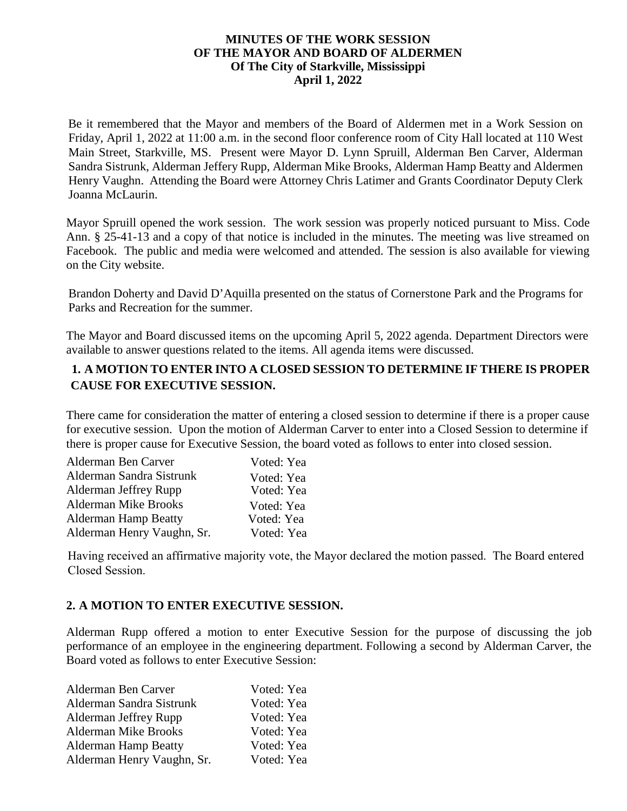### **MINUTES OF THE WORK SESSION OF THE MAYOR AND BOARD OF ALDERMEN Of The City of Starkville, Mississippi April 1, 2022**

Be it remembered that the Mayor and members of the Board of Aldermen met in a Work Session on Friday, April 1, 2022 at 11:00 a.m. in the second floor conference room of City Hall located at 110 West Main Street, Starkville, MS. Present were Mayor D. Lynn Spruill, Alderman Ben Carver, Alderman Sandra Sistrunk, Alderman Jeffery Rupp, Alderman Mike Brooks, Alderman Hamp Beatty and Aldermen Henry Vaughn. Attending the Board were Attorney Chris Latimer and Grants Coordinator Deputy Clerk Joanna McLaurin.

Mayor Spruill opened the work session. The work session was properly noticed pursuant to Miss. Code Ann. § 25-41-13 and a copy of that notice is included in the minutes. The meeting was live streamed on Facebook. The public and media were welcomed and attended. The session is also available for viewing on the City website.

Brandon Doherty and David D'Aquilla presented on the status of Cornerstone Park and the Programs for Parks and Recreation for the summer.

The Mayor and Board discussed items on the upcoming April 5, 2022 agenda. Department Directors were available to answer questions related to the items. All agenda items were discussed.

### **1. A MOTION TO ENTER INTO A CLOSED SESSION TO DETERMINE IF THERE IS PROPER CAUSE FOR EXECUTIVE SESSION.**

There came for consideration the matter of entering a closed session to determine if there is a proper cause for executive session. Upon the motion of Alderman Carver to enter into a Closed Session to determine if there is proper cause for Executive Session, the board voted as follows to enter into closed session.

| Alderman Ben Carver         | Voted: Yea |
|-----------------------------|------------|
| Alderman Sandra Sistrunk    | Voted: Yea |
| Alderman Jeffrey Rupp       | Voted: Yea |
| <b>Alderman Mike Brooks</b> | Voted: Yea |
| <b>Alderman Hamp Beatty</b> | Voted: Yea |
| Alderman Henry Vaughn, Sr.  | Voted: Yea |

Having received an affirmative majority vote, the Mayor declared the motion passed. The Board entered Closed Session.

### **2. A MOTION TO ENTER EXECUTIVE SESSION.**

Alderman Rupp offered a motion to enter Executive Session for the purpose of discussing the job performance of an employee in the engineering department. Following a second by Alderman Carver, the Board voted as follows to enter Executive Session:

| Alderman Ben Carver         | Voted: Yea |
|-----------------------------|------------|
| Alderman Sandra Sistrunk    | Voted: Yea |
| Alderman Jeffrey Rupp       | Voted: Yea |
| <b>Alderman Mike Brooks</b> | Voted: Yea |
| <b>Alderman Hamp Beatty</b> | Voted: Yea |
| Alderman Henry Vaughn, Sr.  | Voted: Yea |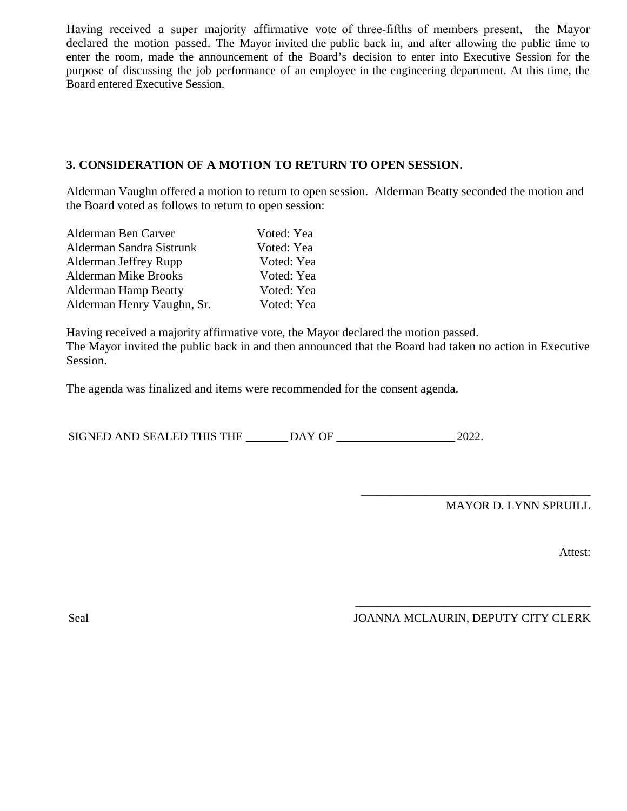Having received a super majority affirmative vote of three-fifths of members present, the Mayor declared the motion passed. The Mayor invited the public back in, and after allowing the public time to enter the room, made the announcement of the Board's decision to enter into Executive Session for the purpose of discussing the job performance of an employee in the engineering department. At this time, the Board entered Executive Session.

### **3. CONSIDERATION OF A MOTION TO RETURN TO OPEN SESSION.**

Alderman Vaughn offered a motion to return to open session. Alderman Beatty seconded the motion and the Board voted as follows to return to open session:

| Alderman Ben Carver         | Voted: Yea |
|-----------------------------|------------|
| Alderman Sandra Sistrunk    | Voted: Yea |
| Alderman Jeffrey Rupp       | Voted: Yea |
| <b>Alderman Mike Brooks</b> | Voted: Yea |
| <b>Alderman Hamp Beatty</b> | Voted: Yea |
| Alderman Henry Vaughn, Sr.  | Voted: Yea |

Having received a majority affirmative vote, the Mayor declared the motion passed. The Mayor invited the public back in and then announced that the Board had taken no action in Executive Session.

The agenda was finalized and items were recommended for the consent agenda.

SIGNED AND SEALED THIS THE DAY OF 2022.

MAYOR D. LYNN SPRUILL

Attest:

\_\_\_\_\_\_\_\_\_\_\_\_\_\_\_\_\_\_\_\_\_\_\_\_\_\_\_\_\_\_\_\_\_\_\_\_\_\_\_\_ Seal JOANNA MCLAURIN, DEPUTY CITY CLERK

\_\_\_\_\_\_\_\_\_\_\_\_\_\_\_\_\_\_\_\_\_\_\_\_\_\_\_\_\_\_\_\_\_\_\_\_\_\_\_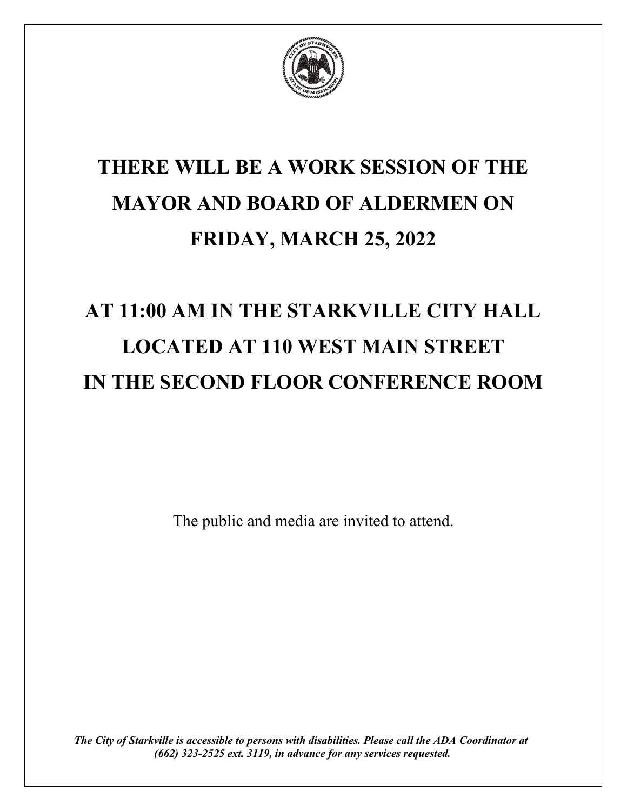

## **THERE WILL BE A WORK SESSION OF THE MAYOR AND BOARD OF ALDERMEN ON FRIDAY, MARCH 25, 2022**

# **AT 11:00 AM IN THE STARKVILLE CITY HALL LOCATED AT 110 WEST MAIN STREET IN THE SECOND FLOOR CONFERENCE ROOM**

The public and media are invited to attend.

*The City of Starkville is accessible to persons with disabilities. Please call the ADA Coordinator at (662) 323-2525 ext. 3119, in advance for any services requested.*